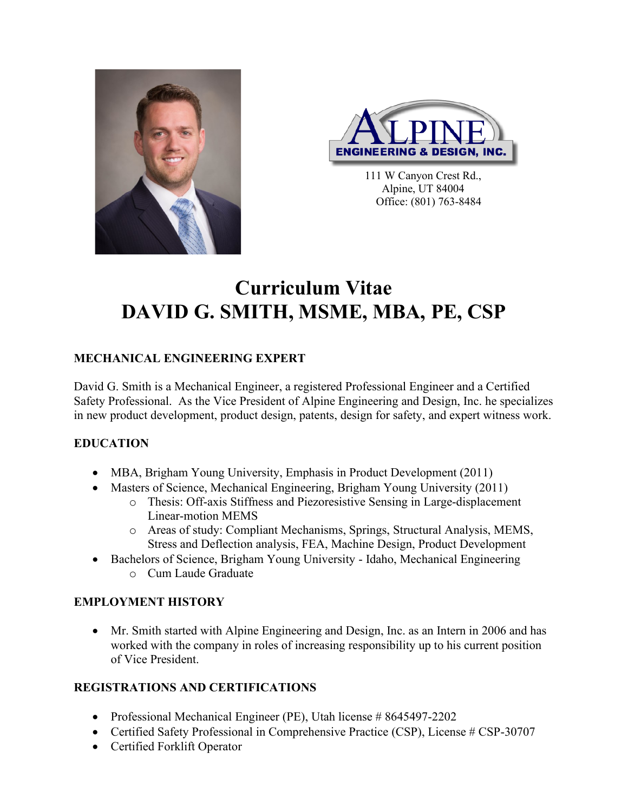



111 W Canyon Crest Rd., Alpine, UT 84004 Office: (801) 763-8484

# **Curriculum Vitae DAVID G. SMITH, MSME, MBA, PE, CSP**

## **MECHANICAL ENGINEERING EXPERT**

David G. Smith is a Mechanical Engineer, a registered Professional Engineer and a Certified Safety Professional. As the Vice President of Alpine Engineering and Design, Inc. he specializes in new product development, product design, patents, design for safety, and expert witness work.

## **EDUCATION**

- MBA, Brigham Young University, Emphasis in Product Development (2011)
- Masters of Science, Mechanical Engineering, Brigham Young University (2011)
	- o Thesis: Off-axis Stiffness and Piezoresistive Sensing in Large-displacement Linear-motion MEMS
	- o Areas of study: Compliant Mechanisms, Springs, Structural Analysis, MEMS, Stress and Deflection analysis, FEA, Machine Design, Product Development
- Bachelors of Science, Brigham Young University Idaho, Mechanical Engineering o Cum Laude Graduate

## **EMPLOYMENT HISTORY**

• Mr. Smith started with Alpine Engineering and Design, Inc. as an Intern in 2006 and has worked with the company in roles of increasing responsibility up to his current position of Vice President.

## **REGISTRATIONS AND CERTIFICATIONS**

- Professional Mechanical Engineer (PE), Utah license # 8645497-2202
- Certified Safety Professional in Comprehensive Practice (CSP), License # CSP-30707
- Certified Forklift Operator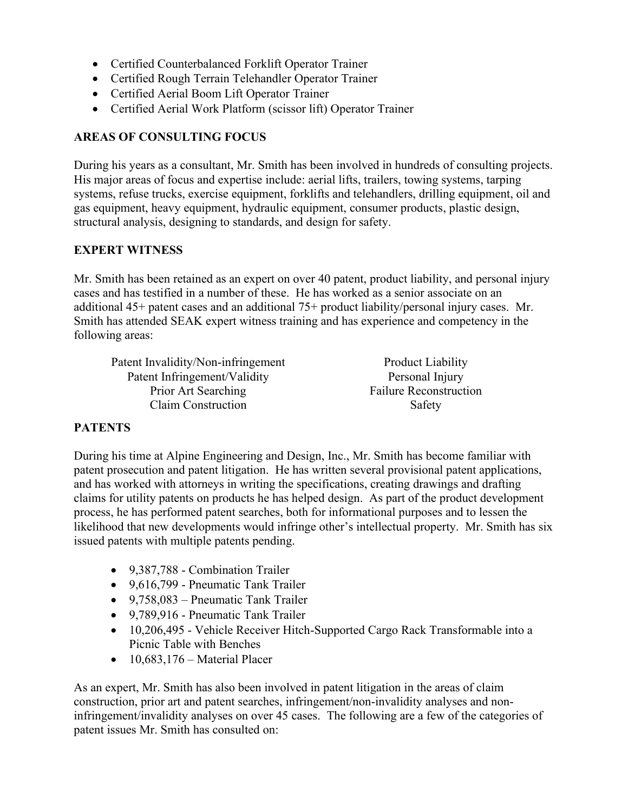- Certified Counterbalanced Forklift Operator Trainer
- Certified Rough Terrain Telehandler Operator Trainer
- Certified Aerial Boom Lift Operator Trainer
- Certified Aerial Work Platform (scissor lift) Operator Trainer

#### **AREAS OF CONSULTING FOCUS**

During his years as a consultant, Mr. Smith has been involved in hundreds of consulting projects. His major areas of focus and expertise include: aerial lifts, trailers, towing systems, tarping systems, refuse trucks, exercise equipment, forklifts and telehandlers, drilling equipment, oil and gas equipment, heavy equipment, hydraulic equipment, consumer products, plastic design, structural analysis, designing to standards, and design for safety.

#### **EXPERT WITNESS**

Mr. Smith has been retained as an expert on over 40 patent, product liability, and personal injury cases and has testified in a number of these. He has worked as a senior associate on an additional 45+ patent cases and an additional 75+ product liability/personal injury cases. Mr. Smith has attended SEAK expert witness training and has experience and competency in the following areas:

Patent Invalidity/Non-infringement Patent Infringement/Validity Prior Art Searching Claim Construction

Product Liability Personal Injury Failure Reconstruction Safety

#### **PATENTS**

During his time at Alpine Engineering and Design, Inc., Mr. Smith has become familiar with patent prosecution and patent litigation. He has written several provisional patent applications, and has worked with attorneys in writing the specifications, creating drawings and drafting claims for utility patents on products he has helped design. As part of the product development process, he has performed patent searches, both for informational purposes and to lessen the likelihood that new developments would infringe other's intellectual property. Mr. Smith has six issued patents with multiple patents pending.

- 9,387,788 Combination Trailer
- 9,616,799 Pneumatic Tank Trailer
- 9.758,083 Pneumatic Tank Trailer
- 9,789,916 Pneumatic Tank Trailer
- 10,206,495 Vehicle Receiver Hitch-Supported Cargo Rack Transformable into a Picnic Table with Benches
- $\bullet$  10,683,176 Material Placer

As an expert, Mr. Smith has also been involved in patent litigation in the areas of claim construction, prior art and patent searches, infringement/non-invalidity analyses and noninfringement/invalidity analyses on over 45 cases. The following are a few of the categories of patent issues Mr. Smith has consulted on: